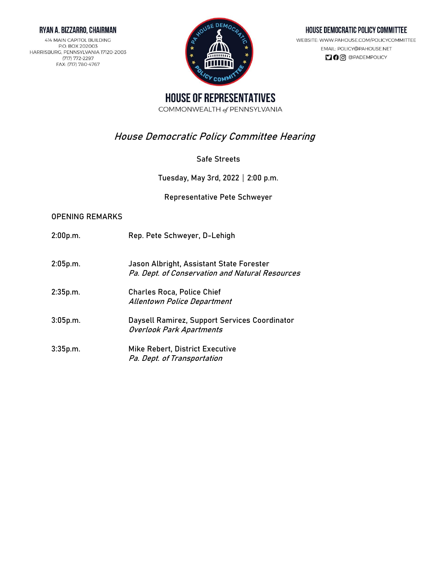#### RYAN A. BIZZARRO, CHAIRMAN

414 MAIN CAPITOL BUILDING P.O. BOX 202003 HARRISBURG, PENNSYLVANIA 17120-2003 (717) 772-2297 FAX: (717) 780-4767



#### HOUSE DEMOCRATIC POLICY COMMITTEE

WEBSITE: WWW.PAHOUSE.COM/POLICYCOMMITTEE EMAIL: POLICY@PAHOUSE.NET  $\Box$   $\Theta$   $\odot$   $\odot$   $\Theta$   $P$ ADEMPOLICY

**HOUSE OF REPRESENTATIVES** COMMONWEALTH of PENNSYLVANIA

# **House Democratic Policy Committee Hearing**

### **Safe Streets**

Tuesday, May 3rd, 2022 | 2:00 p.m.

**Representative Pete Schweyer**

#### **OPENING REMARKS**

**2:00p.m. Rep. Pete Schweyer,** D-Lehigh **2:05p.m. Jason Albright,** Assistant State Forester Pa. Dept. of Conservation and Natural Resources **2:35p.m. Charles Roca,** Police Chief Allentown Police Department **3:05p.m. Daysell Ramirez,** Support Services Coordinator Overlook Park Apartments **3:35p.m. Mike Rebert,** District Executive Pa. Dept. of Transportation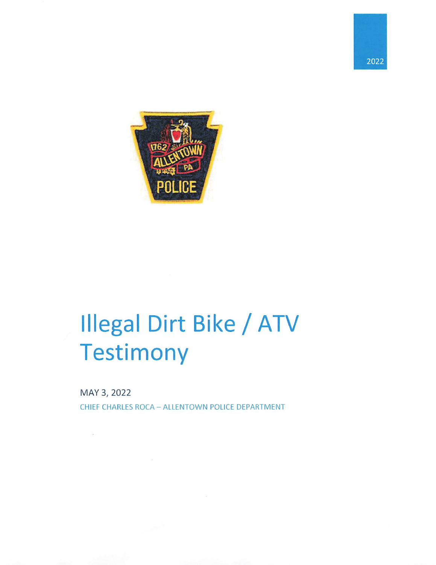



# **Illegal Dirt Bike / ATV** Testimony

MAY 3, 2022

 $\sim$ 

CHIEF CHARLES ROCA - ALLENTOWN POLICE DEPARTMENT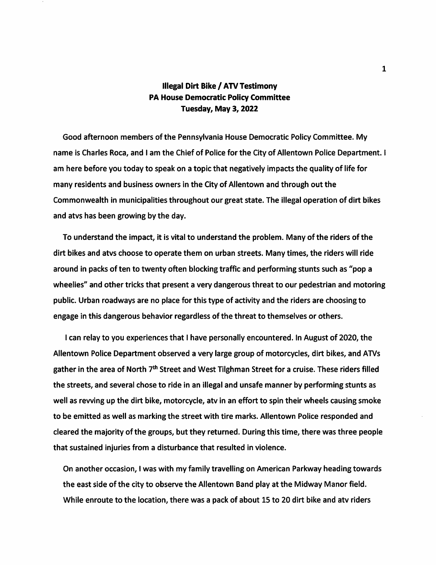# **Illegal Dirt Bike / ATV Testimony PA House Democratic Policy Committee** Tuesday, May 3, 2022

Good afternoon members of the Pennsylvania House Democratic Policy Committee. My name is Charles Roca, and I am the Chief of Police for the City of Allentown Police Department. I am here before you today to speak on a topic that negatively impacts the quality of life for many residents and business owners in the City of Allentown and through out the Commonwealth in municipalities throughout our great state. The illegal operation of dirt bikes and atvs has been growing by the day.

To understand the impact, it is vital to understand the problem. Many of the riders of the dirt bikes and atys choose to operate them on urban streets. Many times, the riders will ride around in packs of ten to twenty often blocking traffic and performing stunts such as "pop a wheelies" and other tricks that present a very dangerous threat to our pedestrian and motoring public. Urban roadways are no place for this type of activity and the riders are choosing to engage in this dangerous behavior regardless of the threat to themselves or others.

I can relay to you experiences that I have personally encountered. In August of 2020, the Allentown Police Department observed a very large group of motorcycles, dirt bikes, and ATVs gather in the area of North 7<sup>th</sup> Street and West Tilghman Street for a cruise. These riders filled the streets, and several chose to ride in an illegal and unsafe manner by performing stunts as well as revving up the dirt bike, motorcycle, atv in an effort to spin their wheels causing smoke to be emitted as well as marking the street with tire marks. Allentown Police responded and cleared the majority of the groups, but they returned. During this time, there was three people that sustained injuries from a disturbance that resulted in violence.

On another occasion, I was with my family travelling on American Parkway heading towards the east side of the city to observe the Allentown Band play at the Midway Manor field. While enroute to the location, there was a pack of about 15 to 20 dirt bike and atv riders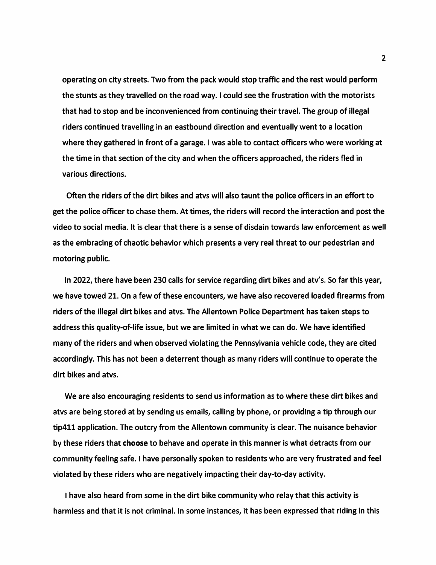operating on city streets. Two from the pack would stop traffic and the rest would perform the stunts as they travelled on the road way. I could see the frustration with the motorists that had to stop and be inconvenienced from continuing their travel. The group of illegal riders continued travelling in an eastbound direction and eventually went to a location where they gathered in front of a garage. I was able to contact officers who were working at the time in that section of the city and when the officers approached, the riders fled in various directions.

Often the riders of the dirt bikes and atvs will also taunt the police officers in an effort to get the police officer to chase them. At times, the riders will record the interaction and post the video to social media. It is clear that there is a sense of disdain towards law enforcement as well as the embracing of chaotic behavior which presents a very real threat to our pedestrian and motoring public.

In 2022, there have been 230 calls for service regarding dirt bikes and aty's. So far this year, we have towed 21. On a few of these encounters, we have also recovered loaded firearms from riders of the illegal dirt bikes and atvs. The Allentown Police Department has taken steps to address this quality-of-life issue, but we are limited in what we can do. We have identified many of the riders and when observed violating the Pennsylvania vehicle code, they are cited accordingly. This has not been a deterrent though as many riders will continue to operate the dirt bikes and atvs.

We are also encouraging residents to send us information as to where these dirt bikes and atys are being stored at by sending us emails, calling by phone, or providing a tip through our tip411 application. The outcry from the Allentown community is clear. The nuisance behavior by these riders that choose to behave and operate in this manner is what detracts from our community feeling safe. I have personally spoken to residents who are very frustrated and feel violated by these riders who are negatively impacting their day-to-day activity.

I have also heard from some in the dirt bike community who relay that this activity is harmless and that it is not criminal. In some instances, it has been expressed that riding in this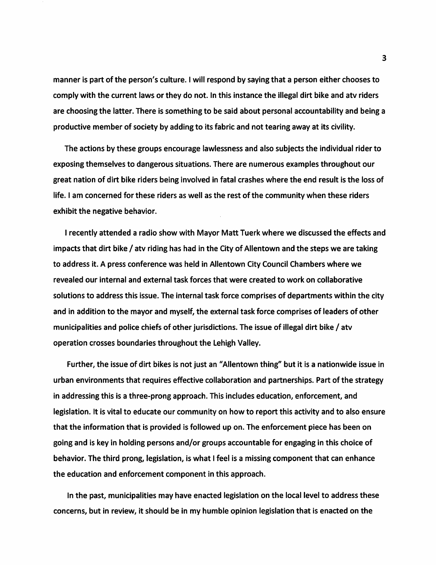manner is part of the person's culture. I will respond by saying that a person either chooses to comply with the current laws or they do not. In this instance the illegal dirt bike and atv riders are choosing the latter. There is something to be said about personal accountability and being a productive member of society by adding to its fabric and not tearing away at its civility.

The actions by these groups encourage lawlessness and also subjects the individual rider to exposing themselves to dangerous situations. There are numerous examples throughout our great nation of dirt bike riders being involved in fatal crashes where the end result is the loss of life. I am concerned for these riders as well as the rest of the community when these riders exhibit the negative behavior.

I recently attended a radio show with Mayor Matt Tuerk where we discussed the effects and impacts that dirt bike / atv riding has had in the City of Allentown and the steps we are taking to address it. A press conference was held in Allentown City Council Chambers where we revealed our internal and external task forces that were created to work on collaborative solutions to address this issue. The internal task force comprises of departments within the city and in addition to the mayor and myself, the external task force comprises of leaders of other municipalities and police chiefs of other jurisdictions. The issue of illegal dirt bike / atv operation crosses boundaries throughout the Lehigh Valley.

Further, the issue of dirt bikes is not just an "Allentown thing" but it is a nationwide issue in urban environments that requires effective collaboration and partnerships. Part of the strategy in addressing this is a three-prong approach. This includes education, enforcement, and legislation. It is vital to educate our community on how to report this activity and to also ensure that the information that is provided is followed up on. The enforcement piece has been on going and is key in holding persons and/or groups accountable for engaging in this choice of behavior. The third prong, legislation, is what I feel is a missing component that can enhance the education and enforcement component in this approach.

In the past, municipalities may have enacted legislation on the local level to address these concerns, but in review, it should be in my humble opinion legislation that is enacted on the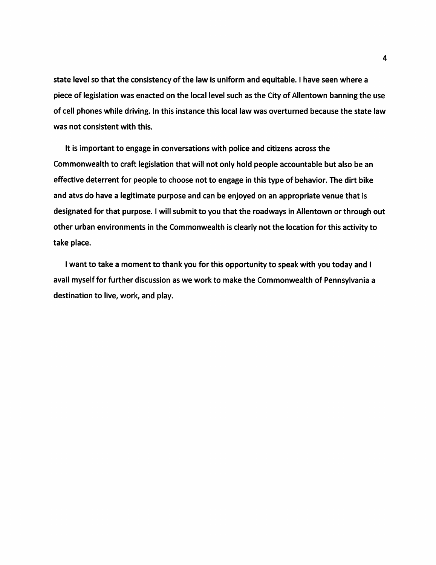state level so that the consistency of the law is uniform and equitable. I have seen where a piece of legislation was enacted on the local level such as the City of Allentown banning the use of cell phones while driving. In this instance this local law was overturned because the state law was not consistent with this.

It is important to engage in conversations with police and citizens across the Commonwealth to craft legislation that will not only hold people accountable but also be an effective deterrent for people to choose not to engage in this type of behavior. The dirt bike and atvs do have a legitimate purpose and can be enjoyed on an appropriate venue that is designated for that purpose. I will submit to you that the roadways in Allentown or through out other urban environments in the Commonwealth is clearly not the location for this activity to take place.

I want to take a moment to thank you for this opportunity to speak with you today and I avail myself for further discussion as we work to make the Commonwealth of Pennsylvania a destination to live, work, and play.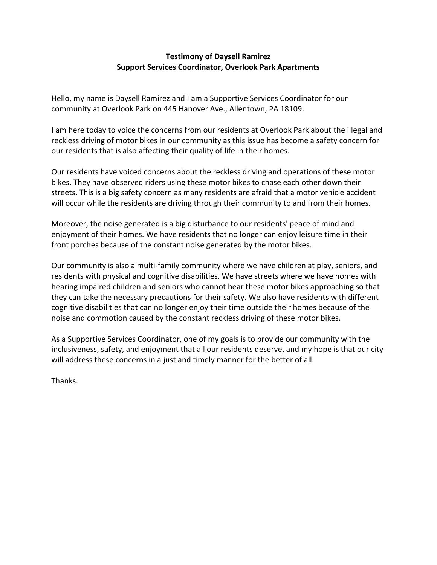## **Testimony of Daysell Ramirez Support Services Coordinator, Overlook Park Apartments**

Hello, my name is Daysell Ramirez and I am a Supportive Services Coordinator for our community at Overlook Park on 445 Hanover Ave., Allentown, PA 18109.

I am here today to voice the concerns from our residents at Overlook Park about the illegal and reckless driving of motor bikes in our community as this issue has become a safety concern for our residents that is also affecting their quality of life in their homes.

Our residents have voiced concerns about the reckless driving and operations of these motor bikes. They have observed riders using these motor bikes to chase each other down their streets. This is a big safety concern as many residents are afraid that a motor vehicle accident will occur while the residents are driving through their community to and from their homes.

Moreover, the noise generated is a big disturbance to our residents' peace of mind and enjoyment of their homes. We have residents that no longer can enjoy leisure time in their front porches because of the constant noise generated by the motor bikes.

Our community is also a multi-family community where we have children at play, seniors, and residents with physical and cognitive disabilities. We have streets where we have homes with hearing impaired children and seniors who cannot hear these motor bikes approaching so that they can take the necessary precautions for their safety. We also have residents with different cognitive disabilities that can no longer enjoy their time outside their homes because of the noise and commotion caused by the constant reckless driving of these motor bikes.

As a Supportive Services Coordinator, one of my goals is to provide our community with the inclusiveness, safety, and enjoyment that all our residents deserve, and my hope is that our city will address these concerns in a just and timely manner for the better of all.

Thanks.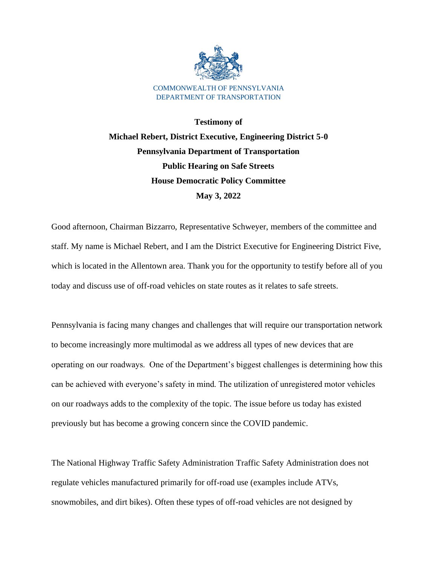

**Testimony of Michael Rebert, District Executive, Engineering District 5-0 Pennsylvania Department of Transportation Public Hearing on Safe Streets House Democratic Policy Committee May 3, 2022**

Good afternoon, Chairman Bizzarro, Representative Schweyer, members of the committee and staff. My name is Michael Rebert, and I am the District Executive for Engineering District Five, which is located in the Allentown area. Thank you for the opportunity to testify before all of you today and discuss use of off-road vehicles on state routes as it relates to safe streets.

Pennsylvania is facing many changes and challenges that will require our transportation network to become increasingly more multimodal as we address all types of new devices that are operating on our roadways. One of the Department's biggest challenges is determining how this can be achieved with everyone's safety in mind. The utilization of unregistered motor vehicles on our roadways adds to the complexity of the topic. The issue before us today has existed previously but has become a growing concern since the COVID pandemic.

The National Highway Traffic Safety Administration Traffic Safety Administration does not regulate vehicles manufactured primarily for off-road use (examples include ATVs, snowmobiles, and dirt bikes). Often these types of off-road vehicles are not designed by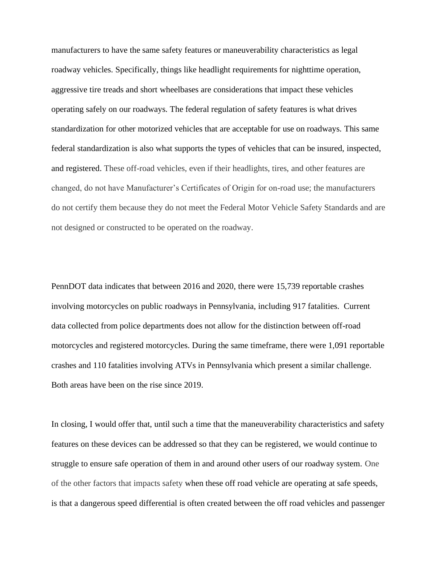manufacturers to have the same safety features or maneuverability characteristics as legal roadway vehicles. Specifically, things like headlight requirements for nighttime operation, aggressive tire treads and short wheelbases are considerations that impact these vehicles operating safely on our roadways. The federal regulation of safety features is what drives standardization for other motorized vehicles that are acceptable for use on roadways. This same federal standardization is also what supports the types of vehicles that can be insured, inspected, and registered. These off-road vehicles, even if their headlights, tires, and other features are changed, do not have Manufacturer's Certificates of Origin for on-road use; the manufacturers do not certify them because they do not meet the Federal Motor Vehicle Safety Standards and are not designed or constructed to be operated on the roadway.

PennDOT data indicates that between 2016 and 2020, there were 15,739 reportable crashes involving motorcycles on public roadways in Pennsylvania, including 917 fatalities. Current data collected from police departments does not allow for the distinction between off-road motorcycles and registered motorcycles. During the same timeframe, there were 1,091 reportable crashes and 110 fatalities involving ATVs in Pennsylvania which present a similar challenge. Both areas have been on the rise since 2019.

In closing, I would offer that, until such a time that the maneuverability characteristics and safety features on these devices can be addressed so that they can be registered, we would continue to struggle to ensure safe operation of them in and around other users of our roadway system. One of the other factors that impacts safety when these off road vehicle are operating at safe speeds, is that a dangerous speed differential is often created between the off road vehicles and passenger